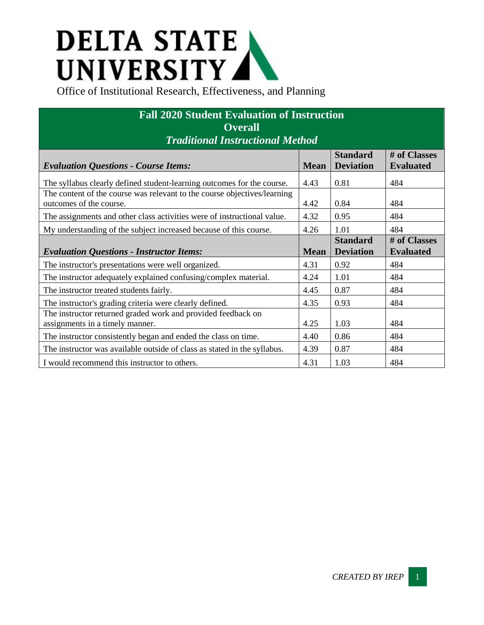## **DELTA STATE<br>UNIVERSITY**<br>Office of Institutional Research, Effectiveness, and Planning

| <b>Fall 2020 Student Evaluation of Instruction</b>                                                  |             |                                     |                                  |  |  |  |
|-----------------------------------------------------------------------------------------------------|-------------|-------------------------------------|----------------------------------|--|--|--|
| <b>Overall</b>                                                                                      |             |                                     |                                  |  |  |  |
| <b>Traditional Instructional Method</b>                                                             |             |                                     |                                  |  |  |  |
| <b>Evaluation Questions - Course Items:</b>                                                         | <b>Mean</b> | <b>Standard</b><br><b>Deviation</b> | # of Classes<br><b>Evaluated</b> |  |  |  |
| The syllabus clearly defined student-learning outcomes for the course.                              | 4.43        | 0.81                                | 484                              |  |  |  |
| The content of the course was relevant to the course objectives/learning<br>outcomes of the course. | 4.42        | 0.84                                | 484                              |  |  |  |
| The assignments and other class activities were of instructional value.                             | 4.32        | 0.95                                | 484                              |  |  |  |
| My understanding of the subject increased because of this course.                                   | 4.26        | 1.01                                | 484                              |  |  |  |
| <b>Evaluation Questions - Instructor Items:</b>                                                     | <b>Mean</b> | <b>Standard</b><br><b>Deviation</b> | # of Classes<br><b>Evaluated</b> |  |  |  |
| The instructor's presentations were well organized.                                                 | 4.31        | 0.92                                | 484                              |  |  |  |
| The instructor adequately explained confusing/complex material.                                     | 4.24        | 1.01                                | 484                              |  |  |  |
| The instructor treated students fairly.                                                             | 4.45        | 0.87                                | 484                              |  |  |  |
| The instructor's grading criteria were clearly defined.                                             | 4.35        | 0.93                                | 484                              |  |  |  |
| The instructor returned graded work and provided feedback on<br>assignments in a timely manner.     | 4.25        | 1.03                                | 484                              |  |  |  |
| The instructor consistently began and ended the class on time.                                      | 4.40        | 0.86                                | 484                              |  |  |  |
| The instructor was available outside of class as stated in the syllabus.                            | 4.39        | 0.87                                | 484                              |  |  |  |
| I would recommend this instructor to others.                                                        | 4.31        | 1.03                                | 484                              |  |  |  |